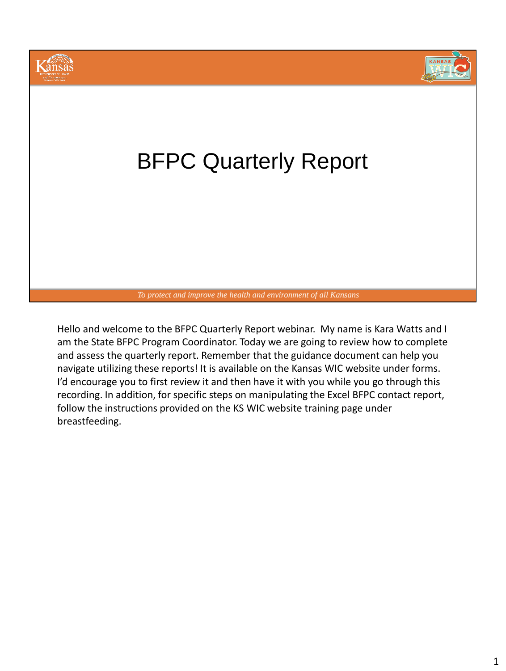

Hello and welcome to the BFPC Quarterly Report webinar. My name is Kara Watts and I am the State BFPC Program Coordinator. Today we are going to review how to complete and assess the quarterly report. Remember that the guidance document can help you navigate utilizing these reports! It is available on the Kansas WIC website under forms. I'd encourage you to first review it and then have it with you while you go through this recording. In addition, for specific steps on manipulating the Excel BFPC contact report, follow the instructions provided on the KS WIC website training page under breastfeeding.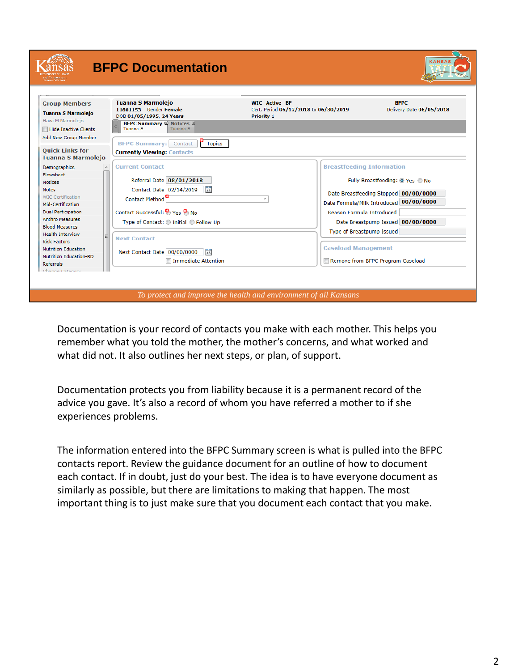|                                                                                                | <b>BFPC Documentation</b>                                                                                                                                        |                                                                                    |                                   | KANSA                                   |
|------------------------------------------------------------------------------------------------|------------------------------------------------------------------------------------------------------------------------------------------------------------------|------------------------------------------------------------------------------------|-----------------------------------|-----------------------------------------|
| <b>Group Members</b><br><b>Tuanna S Marmolejo</b><br>Hawi M Marmolejo<br>Hide Inactive Clients | <b>Tuanna S Marmolejo</b><br>11801153 Gender Female<br>DOB 01/05/1995, 24 Years<br><b>BFPC Summary &amp; Notices &amp;</b><br><b>Tuanna S</b><br><b>Tuanna S</b> | <b>WIC Active BF</b><br>Cert. Period 06/12/2018 to 06/30/2019<br><b>Priority 1</b> |                                   | <b>BFPC</b><br>Delivery Date 06/05/2018 |
| Add New Group Member<br><b>Ouick Links for</b><br><b>Tuanna S Marmolejo</b>                    | <b>Topics</b><br><b>BFPC Summary:</b> Contact<br><b>Currently Viewing: Contacts</b>                                                                              |                                                                                    |                                   |                                         |
| Demographics<br>Flowsheet                                                                      | <b>Current Contact</b>                                                                                                                                           |                                                                                    | <b>Breastfeeding Information</b>  |                                         |
| <b>Notices</b>                                                                                 | Referral Date 08/01/2018                                                                                                                                         |                                                                                    |                                   | Fully Breastfeeding: @ Yes @ No         |
| <b>Notes</b>                                                                                   | $\frac{1}{15}$<br>Contact Date 02/14/2019                                                                                                                        |                                                                                    |                                   | Date Breastfeeding Stopped 00/00/0000   |
| <b>WIC Certification</b>                                                                       | Contact Method                                                                                                                                                   |                                                                                    |                                   |                                         |
| Mid-Certification                                                                              |                                                                                                                                                                  |                                                                                    |                                   | Date Formula/Milk Introduced 00/00/0000 |
| <b>Dual Participation</b>                                                                      | Contact Successful: <a> Yes<br/> <math display="inline">\bullet</math> No</a>                                                                                    |                                                                                    | Reason Formula Introduced         |                                         |
| <b>Anthro Measures</b><br><b>Blood Measures</b>                                                | Type of Contact: © Initial © Follow Up                                                                                                                           |                                                                                    |                                   | Date Breastpump Issued 00/00/0000       |
| <b>Health Interview</b><br><b>Risk Factors</b>                                                 | <b>Next Contact</b>                                                                                                                                              |                                                                                    | Type of Breastpump Issued         |                                         |
| <b>Nutrition Education</b>                                                                     | $\frac{1}{15}$<br>Next Contact Date 00/00/0000                                                                                                                   |                                                                                    | <b>Caseload Management</b>        |                                         |
| <b>Nutrition Education-RD</b><br><b>Referrals</b>                                              | Immediate Attention                                                                                                                                              |                                                                                    | Remove from BFPC Program Caseload |                                         |
| Change Category                                                                                |                                                                                                                                                                  |                                                                                    |                                   |                                         |
|                                                                                                |                                                                                                                                                                  |                                                                                    |                                   |                                         |

Documentation is your record of contacts you make with each mother. This helps you remember what you told the mother, the mother's concerns, and what worked and what did not. It also outlines her next steps, or plan, of support.

Documentation protects you from liability because it is a permanent record of the advice you gave. It's also a record of whom you have referred a mother to if she experiences problems.

The information entered into the BFPC Summary screen is what is pulled into the BFPC contacts report. Review the guidance document for an outline of how to document each contact. If in doubt, just do your best. The idea is to have everyone document as similarly as possible, but there are limitations to making that happen. The most important thing is to just make sure that you document each contact that you make.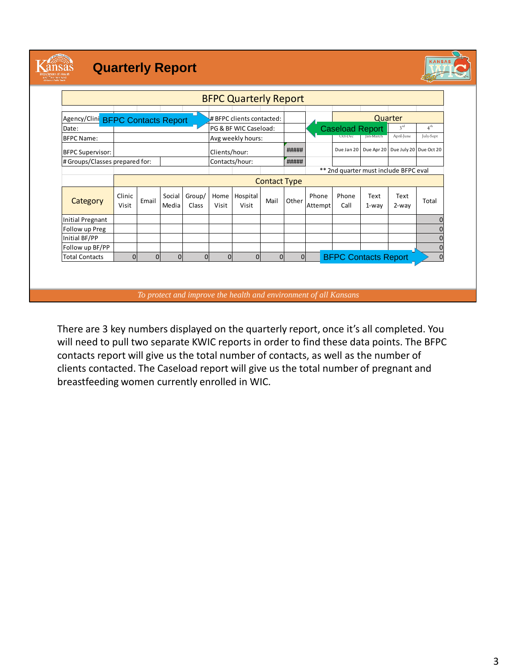

### **Quarterly Report**



|                                   |                 |                |                 |                 |                | <b>BFPC Quarterly Report</b> |                     |                |                  |                                       |               |                                   |                 |
|-----------------------------------|-----------------|----------------|-----------------|-----------------|----------------|------------------------------|---------------------|----------------|------------------|---------------------------------------|---------------|-----------------------------------|-----------------|
|                                   |                 |                |                 |                 |                |                              |                     |                |                  |                                       |               |                                   |                 |
| Agency/Clini BFPC Contacts Report |                 |                |                 |                 |                | #BFPC clients contacted:     |                     |                |                  |                                       |               | Quarter                           |                 |
| Date:                             |                 |                |                 |                 |                | PG & BF WIC Caseload:        |                     |                |                  | <b>Caseload Report</b>                |               | 3 <sup>rd</sup>                   | 4 <sup>th</sup> |
| <b>BFPC Name:</b>                 |                 |                |                 |                 |                | Avg weekly hours:            |                     |                |                  | Oct-Dec                               | Jan-March     | April-June                        | July-Sept       |
| <b>BFPC Supervisor:</b>           |                 |                |                 |                 | Clients/hour:  |                              |                     | #####          |                  | Due Jan 20                            |               | Due Apr 20 Due July 20 Due Oct 20 |                 |
| # Groups/Classes prepared for:    |                 |                |                 |                 |                | Contacts/hour:               |                     | #####          |                  |                                       |               |                                   |                 |
|                                   |                 |                |                 |                 |                |                              |                     |                |                  | ** 2nd quarter must include BFPC eval |               |                                   |                 |
|                                   |                 |                |                 |                 |                |                              | <b>Contact Type</b> |                |                  |                                       |               |                                   |                 |
| Category                          | Clinic<br>Visit | Email          | Social<br>Media | Group/<br>Class | Home<br>Visit  | Hospital<br>Visit            | Mail                | Other          | Phone<br>Attempt | Phone<br>Call                         | Text<br>1-way | Text<br>$2-way$                   | Total           |
| <b>Initial Pregnant</b>           |                 |                |                 |                 |                |                              |                     |                |                  |                                       |               |                                   |                 |
| Follow up Preg                    |                 |                |                 |                 |                |                              |                     |                |                  |                                       |               |                                   |                 |
| Initial BF/PP                     |                 |                |                 |                 |                |                              |                     |                |                  |                                       |               |                                   |                 |
| Follow up BF/PP                   |                 |                |                 |                 |                |                              |                     |                |                  |                                       |               |                                   | $\Omega$        |
| <b>Total Contacts</b>             | $\overline{0}$  | $\overline{0}$ | $\overline{0}$  | $\overline{0}$  | $\overline{0}$ | $\overline{0}$               | $\mathbf{0}$        | $\overline{0}$ |                  | <b>BFPC Contacts Report</b>           |               |                                   | $\Omega$        |

There are 3 key numbers displayed on the quarterly report, once it's all completed. You will need to pull two separate KWIC reports in order to find these data points. The BFPC contacts report will give us the total number of contacts, as well as the number of clients contacted. The Caseload report will give us the total number of pregnant and breastfeeding women currently enrolled in WIC.

*To protect and improve the health and environment of all Kansans*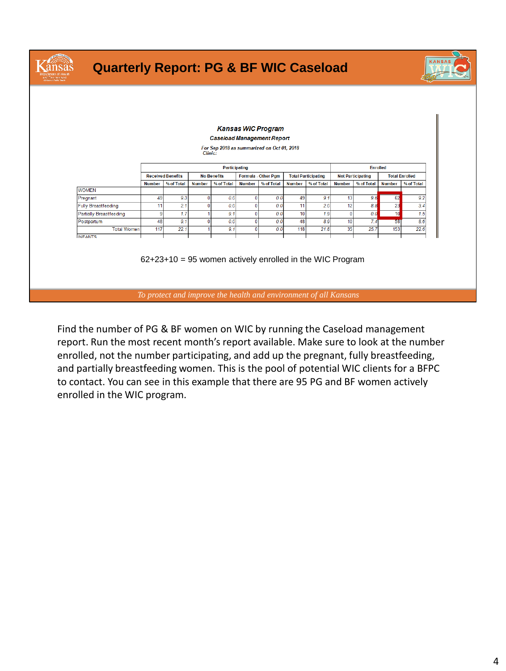| <b>Quarterly Report: PG &amp; BF WIC Caseload</b> |               |                                                                  |               |                    |               |                                            |               |                            |               |                          |               |                       | <b>KANSAS</b> |
|---------------------------------------------------|---------------|------------------------------------------------------------------|---------------|--------------------|---------------|--------------------------------------------|---------------|----------------------------|---------------|--------------------------|---------------|-----------------------|---------------|
|                                                   |               |                                                                  |               |                    |               |                                            |               |                            |               |                          |               |                       |               |
|                                                   |               |                                                                  |               |                    |               |                                            |               |                            |               |                          |               |                       |               |
|                                                   |               |                                                                  |               |                    |               | <b>Kansas WIC Program</b>                  |               |                            |               |                          |               |                       |               |
|                                                   |               |                                                                  |               |                    |               | <b>Caseload Management Report</b>          |               |                            |               |                          |               |                       |               |
|                                                   |               |                                                                  | Clinic:       |                    |               | For Sep 2018 as summarized on Oct 01, 2018 |               |                            |               |                          |               |                       |               |
|                                                   |               |                                                                  |               |                    |               |                                            |               |                            |               |                          |               |                       |               |
|                                                   |               |                                                                  |               | Participating      |               |                                            |               |                            |               | <b>Enrolled</b>          |               |                       |               |
|                                                   |               | <b>Received Benefits</b>                                         |               | <b>No Benefits</b> |               | Formula - Other Pgm                        |               | <b>Total Participating</b> |               | <b>Not Participating</b> |               | <b>Total Enrolled</b> |               |
|                                                   | <b>Number</b> | % of Total                                                       | <b>Number</b> | % of Total         | <b>Number</b> | % of Total                                 | <b>Number</b> | % of Total                 | <b>Number</b> | % of Total               | <b>Number</b> | % of Total            |               |
| <b>WOMEN</b><br>Pregnant                          | 49            | 9.3                                                              | $\Omega$      | 0.0                | $\mathbf{0}$  | 0.0                                        | 49            | 9.1                        | 13            | 9.6                      | 62            | 9.2                   |               |
| <b>Fully Breastfeeding</b>                        | 11            | 2.1                                                              | n             | 0.0                | $\mathbf{0}$  | 0.0                                        | 11            | 2.0                        | 12            | 8.8                      | 23            | 3.4                   |               |
| <b>Partially Breastfeeding</b>                    | 9             | 1.7                                                              |               | 9.1                | $\mathbf{0}$  | 0.0                                        | 10            | 1.9                        | $\mathbf{0}$  | 0.0                      | 10            | 1.5                   |               |
| Postpartum                                        | 48            | 9.1                                                              | n             | 0.0                | $\mathbf{0}$  | 0.0                                        | 48            | 8.9                        | 10            | 7.4                      | 58            | 8.6                   |               |
| <b>Total Women</b>                                | 117           | 22.1                                                             |               | 9.1                | $\mathbf{0}$  | 0.0                                        | 118           | 21.8                       | 35            | 25.7                     | 153           | 22.6                  |               |
| <b>INFANTS</b>                                    |               |                                                                  |               |                    |               |                                            |               |                            |               |                          |               |                       |               |
|                                                   |               | $62+23+10 = 95$ women actively enrolled in the WIC Program       |               |                    |               |                                            |               |                            |               |                          |               |                       |               |
|                                                   |               | To protect and improve the health and environment of all Kansans |               |                    |               |                                            |               |                            |               |                          |               |                       |               |

Find the number of PG & BF women on WIC by running the Caseload management report. Run the most recent month's report available. Make sure to look at the number enrolled, not the number participating, and add up the pregnant, fully breastfeeding, and partially breastfeeding women. This is the pool of potential WIC clients for a BFPC to contact. You can see in this example that there are 95 PG and BF women actively enrolled in the WIC program.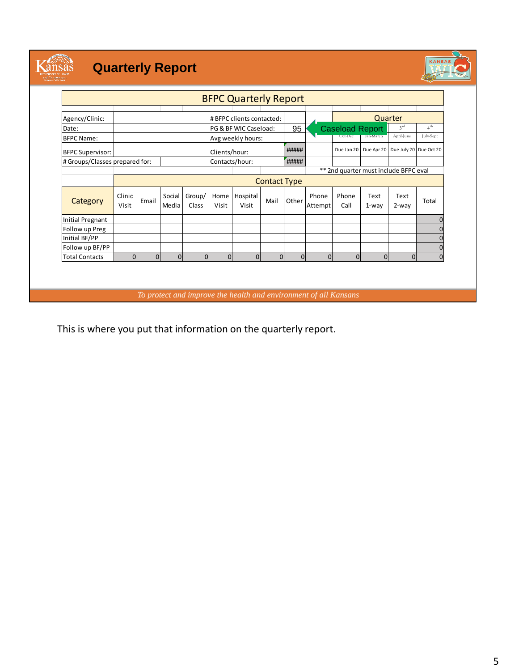

# **Quarterly Report**



|                                |                 |                |                 |                 |                | <b>BFPC Quarterly Report</b> |                     |                |                  |                        |               |                                              |                 |
|--------------------------------|-----------------|----------------|-----------------|-----------------|----------------|------------------------------|---------------------|----------------|------------------|------------------------|---------------|----------------------------------------------|-----------------|
| Agency/Clinic:                 |                 |                |                 |                 |                | #BFPC clients contacted:     |                     |                |                  |                        |               | Quarter                                      |                 |
| Date:                          |                 |                |                 |                 |                | PG & BF WIC Caseload:        |                     | 95             |                  | <b>Caseload Report</b> |               | 3 <sup>rd</sup>                              | 4 <sup>th</sup> |
| <b>BFPC Name:</b>              |                 |                |                 |                 |                | Avg weekly hours:            |                     |                |                  | Oct-Dec                | lan-March     | April-June                                   | July-Sept       |
| <b>BFPC Supervisor:</b>        |                 |                |                 |                 | Clients/hour:  |                              |                     | #####          |                  |                        |               | Due Jan 20 Due Apr 20 Due July 20 Due Oct 20 |                 |
| # Groups/Classes prepared for: |                 |                |                 |                 | Contacts/hour: |                              |                     | #####          |                  |                        |               |                                              |                 |
|                                |                 |                |                 |                 |                |                              |                     |                |                  |                        |               | ** 2nd quarter must include BFPC eval        |                 |
|                                |                 |                |                 |                 |                |                              | <b>Contact Type</b> |                |                  |                        |               |                                              |                 |
| Category                       | Clinic<br>Visit | Email          | Social<br>Media | Group/<br>Class | Home<br>Visit  | Hospital<br>Visit            | Mail                | Other          | Phone<br>Attempt | Phone<br>Call          | Text<br>1-way | Text<br>2-way                                | Total           |
| <b>Initial Pregnant</b>        |                 |                |                 |                 |                |                              |                     |                |                  |                        |               |                                              |                 |
| Follow up Preg                 |                 |                |                 |                 |                |                              |                     |                |                  |                        |               |                                              |                 |
| Initial BF/PP                  |                 |                |                 |                 |                |                              |                     |                |                  |                        |               |                                              |                 |
| Follow up BF/PP                |                 |                |                 |                 |                |                              |                     |                |                  |                        |               |                                              |                 |
| <b>Total Contacts</b>          | $\overline{0}$  | $\overline{0}$ | $\overline{0}$  | $\mathbf{0}$    | $\Omega$       | $\Omega$                     | $\mathbf{0}$        | $\overline{0}$ | $\mathbf{0}$     | $\overline{0}$         | $\Omega$      | 0                                            |                 |

*To protect and improve the health and environment of all Kansans*

This is where you put that information on the quarterly report.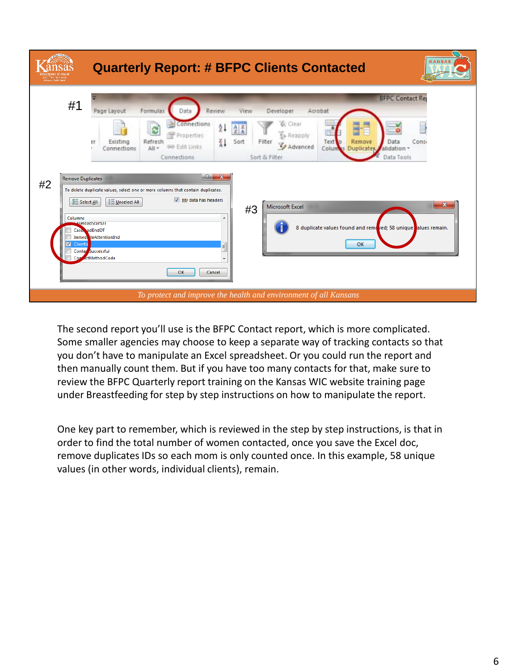| Environmen<br>sommer |                                                                                         | <b>KANSAS</b><br><b>Quarterly Report: # BFPC Clients Contacted</b>                                                                                                                                                                                                                                                                                                                                                                                                                                                                                                                                                                                                                                                                                                                                                                                                                             |
|----------------------|-----------------------------------------------------------------------------------------|------------------------------------------------------------------------------------------------------------------------------------------------------------------------------------------------------------------------------------------------------------------------------------------------------------------------------------------------------------------------------------------------------------------------------------------------------------------------------------------------------------------------------------------------------------------------------------------------------------------------------------------------------------------------------------------------------------------------------------------------------------------------------------------------------------------------------------------------------------------------------------------------|
| #2                   | #1<br><b>Remove Duplicates</b><br><b>全 Select All</b><br>Columns<br>⊽<br>ClientI<br>Com | <b>BFPC Contact Rep</b><br>Page Layout<br>Formulas<br>Review<br>Acrobat<br>View<br>Developer<br>Data<br><b>K</b> Clear<br><b>D</b> Connections<br>21<br>$\frac{\Lambda}{Z}$ $\frac{Z}{\Lambda}$<br>ø<br><b>S</b> » Reapply<br>Properties<br>Refresh<br>접<br>Existing<br>Sort<br>Filter<br>Text<br>Remove<br>ЕF<br>Data<br>Consi<br>Advanced<br>60 Edit Links<br>All =<br>Colum<br>Connections<br>alidation +<br><b>Duplicates</b><br>Sort & Filter<br>Data Tools<br>Connections<br> 2 <br>$\mathbf{x}$<br>To delete duplicate values, select one or more columns that contain duplicates.<br>My data has headers<br>■ Unselect All<br>$\mathbf{x}$<br>Microsoft Excel<br>#3<br>A<br>aseloadStartD1<br>8 duplicate values found and removed; 58 unique alues remain.<br>Case adEndDT<br>Immed teAttentionInd<br>OK<br>E<br>Contac Successful<br>actMethodCode<br>$\overline{\phantom{a}}$<br>OK |
|                      |                                                                                         | Cancel<br>To protect and improve the health and environment of all Kansans                                                                                                                                                                                                                                                                                                                                                                                                                                                                                                                                                                                                                                                                                                                                                                                                                     |

The second report you'll use is the BFPC Contact report, which is more complicated. Some smaller agencies may choose to keep a separate way of tracking contacts so that you don't have to manipulate an Excel spreadsheet. Or you could run the report and then manually count them. But if you have too many contacts for that, make sure to review the BFPC Quarterly report training on the Kansas WIC website training page under Breastfeeding for step by step instructions on how to manipulate the report.

One key part to remember, which is reviewed in the step by step instructions, is that in order to find the total number of women contacted, once you save the Excel doc, remove duplicates IDs so each mom is only counted once. In this example, 58 unique values (in other words, individual clients), remain.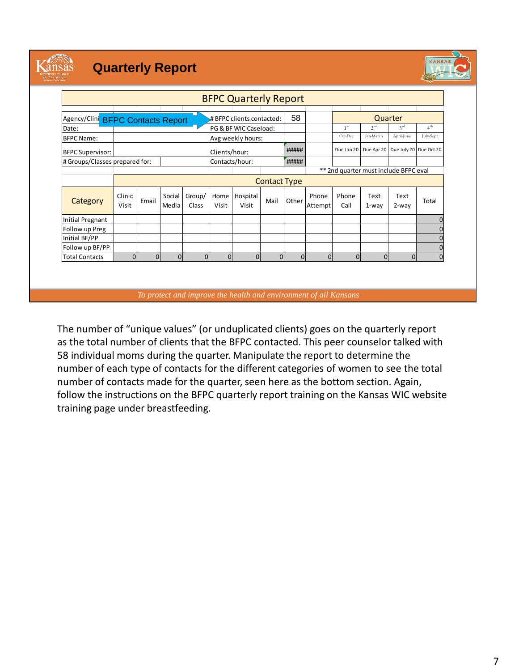

### **Quarterly Report**



|                                   |                 |                |                 |                 |                | <b>BFPC Quarterly Report</b> |                     |                |                  |                                       |                  |                                   |                 |
|-----------------------------------|-----------------|----------------|-----------------|-----------------|----------------|------------------------------|---------------------|----------------|------------------|---------------------------------------|------------------|-----------------------------------|-----------------|
|                                   |                 |                |                 |                 |                |                              |                     |                |                  |                                       |                  |                                   |                 |
| Agency/Clini BFPC Contacts Report |                 |                |                 |                 |                | #BFPC clients contacted:     |                     | 58             |                  |                                       |                  | Quarter                           |                 |
| Date:                             |                 |                |                 |                 |                | PG & BF WIC Caseload:        |                     |                |                  | 1 <sup>st</sup>                       | 2 <sub>nd</sub>  | 3 <sup>rd</sup>                   | 4 <sup>th</sup> |
| <b>BFPC Name:</b>                 |                 |                |                 |                 |                | Avg weekly hours:            |                     |                |                  | Oct-Dec                               | <b>Jan-March</b> | April-June                        | July-Sept       |
| <b>BFPC Supervisor:</b>           |                 |                |                 |                 | Clients/hour:  |                              |                     | #####          |                  | Due Jan 20                            |                  | Due Apr 20 Due July 20 Due Oct 20 |                 |
| # Groups/Classes prepared for:    |                 |                |                 |                 | Contacts/hour: |                              |                     | #####          |                  |                                       |                  |                                   |                 |
|                                   |                 |                |                 |                 |                |                              |                     |                |                  | ** 2nd quarter must include BFPC eval |                  |                                   |                 |
|                                   |                 |                |                 |                 |                |                              | <b>Contact Type</b> |                |                  |                                       |                  |                                   |                 |
| Category                          | Clinic<br>Visit | Email          | Social<br>Media | Group/<br>Class | Home<br>Visit  | Hospital<br>Visit            | Mail                | Other          | Phone<br>Attempt | Phone<br>Call                         | Text<br>$1$ -way | Text<br>$2-way$                   | Total           |
| Initial Pregnant                  |                 |                |                 |                 |                |                              |                     |                |                  |                                       |                  |                                   |                 |
| Follow up Preg                    |                 |                |                 |                 |                |                              |                     |                |                  |                                       |                  |                                   |                 |
| Initial BF/PP                     |                 |                |                 |                 |                |                              |                     |                |                  |                                       |                  |                                   |                 |
| Follow up BF/PP                   |                 |                |                 |                 |                |                              |                     |                |                  |                                       |                  |                                   | $\Omega$        |
| <b>Total Contacts</b>             | $\overline{0}$  | $\overline{0}$ | $\Omega$        | $\Omega$        | $\overline{0}$ | $\Omega$                     | $\overline{0}$      | $\overline{0}$ | $\Omega$         | $\overline{0}$                        | $\overline{0}$   | $\Omega$                          | $\Omega$        |

*To protect and improve the health and environment of all Kansans*

The number of "unique values" (or unduplicated clients) goes on the quarterly report as the total number of clients that the BFPC contacted. This peer counselor talked with 58 individual moms during the quarter. Manipulate the report to determine the number of each type of contacts for the different categories of women to see the total number of contacts made for the quarter, seen here as the bottom section. Again, follow the instructions on the BFPC quarterly report training on the Kansas WIC website training page under breastfeeding.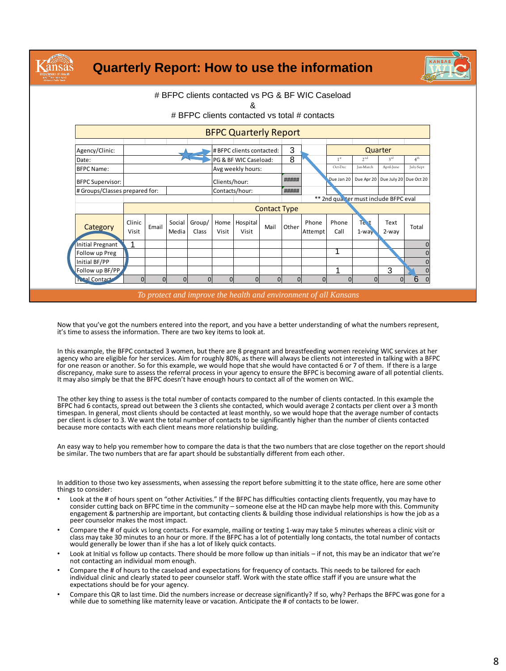|                                |          |          |          |          |                | # BFPC clients contacted vs PG & BF WIC Caseload |                     |          |          |                 |                                              |                 |                 |
|--------------------------------|----------|----------|----------|----------|----------------|--------------------------------------------------|---------------------|----------|----------|-----------------|----------------------------------------------|-----------------|-----------------|
|                                |          |          |          |          |                | &                                                |                     |          |          |                 |                                              |                 |                 |
|                                |          |          |          |          |                | # BFPC clients contacted vs total # contacts     |                     |          |          |                 |                                              |                 |                 |
|                                |          |          |          |          |                |                                                  |                     |          |          |                 |                                              |                 |                 |
|                                |          |          |          |          |                | <b>BFPC Quarterly Report</b>                     |                     |          |          |                 |                                              |                 |                 |
| Agency/Clinic:                 |          |          |          |          |                | # BFPC clients contacted:                        |                     | 3        |          |                 |                                              | Quarter         |                 |
| Date:                          |          |          |          |          |                | PG & BF WIC Caseload:                            |                     | 8        |          | 1 <sup>st</sup> | 2 <sub>nd</sub>                              | 3 <sup>rd</sup> | 4 <sup>th</sup> |
| <b>BFPC Name:</b>              |          |          |          |          |                | Avg weekly hours:                                |                     |          |          | Oct-Dec         | Jan-March                                    | April-June      | July-Sept       |
| <b>BFPC Supervisor:</b>        |          |          |          |          | Clients/hour:  |                                                  |                     | #####    |          |                 | Due Jan 20 Due Apr 20 Due July 20 Due Oct 20 |                 |                 |
| # Groups/Classes prepared for: |          |          |          |          | Contacts/hour: |                                                  |                     | #####    |          |                 |                                              |                 |                 |
|                                |          |          |          |          |                |                                                  |                     |          |          |                 | ** 2nd qual ter must include BFPC eval       |                 |                 |
|                                |          |          |          |          |                |                                                  | <b>Contact Type</b> |          |          |                 |                                              |                 |                 |
|                                | Clinic   |          | Social   | Group/   | Home           | Hospital                                         |                     |          | Phone    | Phone           | Te <sub>st</sub>                             | Text            |                 |
| Category                       | Visit    | Email    | Media    | Class    | Visit          | Visit                                            | Mail                | Other    | Attempt  | Call            | $1-way$                                      | $2$ -wav        | Total           |
| Initial Pregnant               | 1        |          |          |          |                |                                                  |                     |          |          |                 |                                              |                 |                 |
| Follow up Preg                 |          |          |          |          |                |                                                  |                     |          |          |                 |                                              |                 |                 |
| Initial BF/PP                  |          |          |          |          |                |                                                  |                     |          |          |                 |                                              |                 |                 |
| Follow up BF/PP                |          |          |          |          |                |                                                  |                     |          |          |                 |                                              | 3               |                 |
| <b>Ctal Contacts</b>           | $\Omega$ | $\Omega$ | $\Omega$ | $\Omega$ | $\Omega$       | $\Omega$                                         | $\Omega$            | $\Omega$ | $\Omega$ | $\Omega$        | $\Omega$                                     | $\Omega$        | 6<br>$\Omega$   |

Now that you've got the numbers entered into the report, and you have a better understanding of what the numbers represent, it's time to assess the information. There are two key items to look at.

In this example, the BFPC contacted 3 women, but there are 8 pregnant and breastfeeding women receiving WIC services at her agency who are eligible for her services. Aim for roughly 80%, as there will always be clients not interested in talking with a BFPC for one reason or another. So for this example, we would hope that she would have contacted 6 or 7 of them. If there is a large discrepancy, make sure to assess the referral process in your agency to ensure the BFPC is becoming aware of all potential clients. It may also simply be that the BFPC doesn't have enough hours to contact all of the women on WIC.

The other key thing to assess is the total number of contacts compared to the number of clients contacted. In this example the BFPC had 6 contacts, spread out between the 3 clients she contacted, which would average 2 contacts per client over a 3 month timespan. In general, most clients should be contacted at least monthly, so we would hope that the average number of contacts per client is closer to 3. We want the total number of contacts to be significantly higher than the number of clients contacted because more contacts with each client means more relationship building.

An easy way to help you remember how to compare the data is that the two numbers that are close together on the report should be similar. The two numbers that are far apart should be substantially different from each other.

In addition to those two key assessments, when assessing the report before submitting it to the state office, here are some other things to consider:

- Look at the # of hours spent on "other Activities." If the BFPC has difficulties contacting clients frequently, you may have to consider cutting back on BFPC time in the community – someone else at the HD can maybe help more with this. Community<br>engagement & partnership are important, but contacting clients & building those individual relationships peer counselor makes the most impact.
- Compare the # of quick vs long contacts. For example, mailing or texting 1-way may take 5 minutes whereas a clinic visit or class may take 30 minutes to an hour or more. If the BFPC has a lot of potentially long contacts, the total number of contacts would generally be lower than if she has a lot of likely quick contacts.
- Look at Initial vs follow up contacts. There should be more follow up than initials if not, this may be an indicator that we're not contacting an individual mom enough.
- Compare the # of hours to the caseload and expectations for frequency of contacts. This needs to be tailored for each individual clinic and clearly stated to peer counselor staff. Work with the state office staff if you are unsure what the expectations should be for your agency.
- Compare this QR to last time. Did the numbers increase or decrease significantly? If so, why? Perhaps the BFPC was gone for a while due to something like maternity leave or vacation. Anticipate the # of contacts to be lower.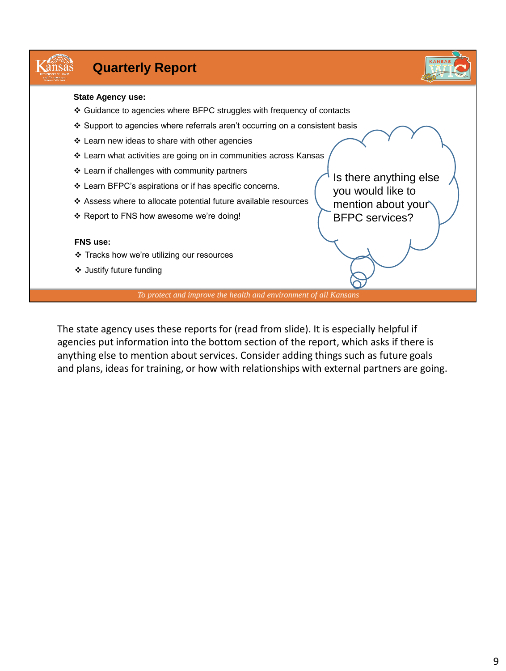#### Kansas **Quarterly Report State Agency use:** ❖ Guidance to agencies where BFPC struggles with frequency of contacts ❖ Support to agencies where referrals aren't occurring on a consistent basis ❖ Learn new ideas to share with other agencies ❖ Learn what activities are going on in communities across Kansas ❖ Learn if challenges with community partners Is there anything else ❖ Learn BFPC's aspirations or if has specific concerns. you would like to ❖ Assess where to allocate potential future available resources mention about your ❖ Report to FNS how awesome we're doing! BFPC services? **FNS use:** ❖ Tracks how we're utilizing our resources

❖ Justify future funding

*To protect and improve the health and environment of all Kansans*

The state agency uses these reports for (read from slide). It is especially helpful if agencies put information into the bottom section of the report, which asks if there is anything else to mention about services. Consider adding things such as future goals and plans, ideas for training, or how with relationships with external partners are going.